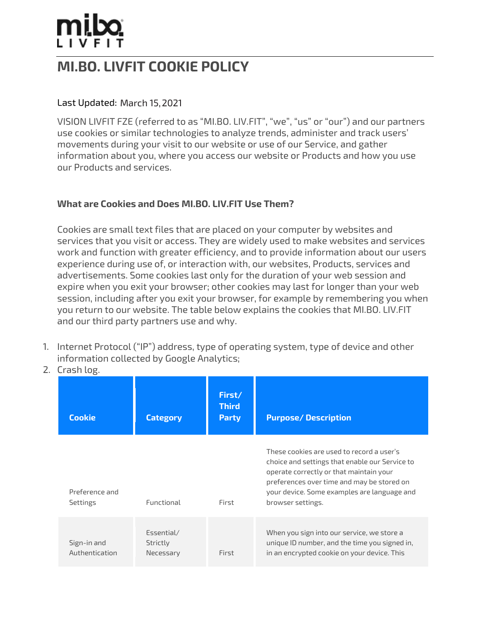## MI.BO. LIVFIT COOKIE POLICY

### Last Updated: March 15, 2021

VISION LIVFIT FZE (referred to as "MI.BO. LIV.FIT", "we", "us" or "our") and our partners use cookies or similar technologies to analyze trends, administer and track users' movements during your visit to our website or use of our Service, and gather information about you, where you access our website or Products and how you use our Products and services.

#### What are Cookies and Does MI.BO. LIV.FIT Use Them?

Cookies are small text files that are placed on your computer by websites and services that you visit or access. They are widely used to make websites and services work and function with greater efficiency, and to provide information about our users experience during use of, or interaction with, our websites, Products, services and advertisements. Some cookies last only for the duration of your web session and expire when you exit your browser; other cookies may last for longer than your web session, including after you exit your browser, for example by remembering you when you return to our website. The table below explains the cookies that MI.BO. LIV.FIT and our third party partners use and why.

- 1. Internet Protocol ("IP") address, type of operating system, type of device and other information collected by Google Analytics;
- 2. Crash log.

| <b>Cookie</b>                     | <b>Category</b>                     | First/<br><b>Third</b><br>Party | <b>Purpose/Description</b>                                                                                                                                                                                                                               |
|-----------------------------------|-------------------------------------|---------------------------------|----------------------------------------------------------------------------------------------------------------------------------------------------------------------------------------------------------------------------------------------------------|
| Preference and<br><b>Settings</b> | Functional                          | First                           | These cookies are used to record a user's<br>choice and settings that enable our Service to<br>operate correctly or that maintain your<br>preferences over time and may be stored on<br>your device. Some examples are language and<br>browser settings. |
| Sign-in and<br>Authentication     | Essential/<br>Strictly<br>Necessary | First                           | When you sign into our service, we store a<br>unique ID number, and the time you signed in,<br>in an encrypted cookie on your device. This                                                                                                               |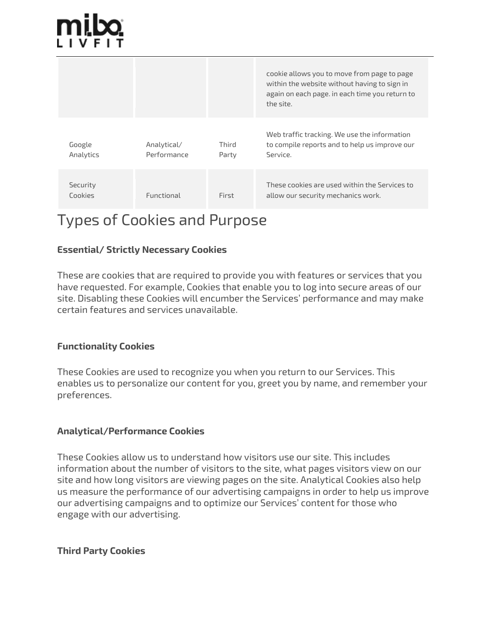|                     |                            |                | cookie allows you to move from page to page<br>within the website without having to sign in<br>again on each page. in each time you return to<br>the site. |
|---------------------|----------------------------|----------------|------------------------------------------------------------------------------------------------------------------------------------------------------------|
| Google<br>Analytics | Analytical/<br>Performance | Third<br>Party | Web traffic tracking. We use the information<br>to compile reports and to help us improve our<br>Service.                                                  |
| Security<br>Cookies | Functional                 | First          | These cookies are used within the Services to<br>allow our security mechanics work.                                                                        |

# Types of Cookies and Purpose

### Essential/ Strictly Necessary Cookies

These are cookies that are required to provide you with features or services that you have requested. For example, Cookies that enable you to log into secure areas of our site. Disabling these Cookies will encumber the Services' performance and may make certain features and services unavailable.

#### Functionality Cookies

These Cookies are used to recognize you when you return to our Services. This enables us to personalize our content for you, greet you by name, and remember your preferences.

#### Analytical/Performance Cookies

These Cookies allow us to understand how visitors use our site. This includes information about the number of visitors to the site, what pages visitors view on our site and how long visitors are viewing pages on the site. Analytical Cookies also help us measure the performance of our advertising campaigns in order to help us improve our advertising campaigns and to optimize our Services' content for those who engage with our advertising.

#### Third Party Cookies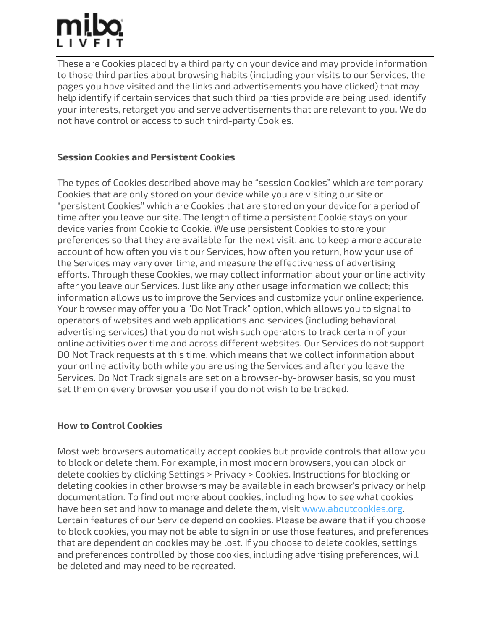# mibo

These are Cookies placed by a third party on your device and may provide information to those third parties about browsing habits (including your visits to our Services, the pages you have visited and the links and advertisements you have clicked) that may help identify if certain services that such third parties provide are being used, identify your interests, retarget you and serve advertisements that are relevant to you. We do not have control or access to such third-party Cookies.

## Session Cookies and Persistent Cookies

The types of Cookies described above may be "session Cookies" which are temporary Cookies that are only stored on your device while you are visiting our site or "persistent Cookies" which are Cookies that are stored on your device for a period of time after you leave our site. The length of time a persistent Cookie stays on your device varies from Cookie to Cookie. We use persistent Cookies to store your preferences so that they are available for the next visit, and to keep a more accurate account of how often you visit our Services, how often you return, how your use of the Services may vary over time, and measure the effectiveness of advertising efforts. Through these Cookies, we may collect information about your online activity after you leave our Services. Just like any other usage information we collect; this information allows us to improve the Services and customize your online experience. Your browser may offer you a "Do Not Track" option, which allows you to signal to operators of websites and web applications and services (including behavioral advertising services) that you do not wish such operators to track certain of your online activities over time and across different websites. Our Services do not support DO Not Track requests at this time, which means that we collect information about your online activity both while you are using the Services and after you leave the Services. Do Not Track signals are set on a browser-by-browser basis, so you must set them on every browser you use if you do not wish to be tracked.

### How to Control Cookies

Most web browsers automatically accept cookies but provide controls that allow you to block or delete them. For example, in most modern browsers, you can block or delete cookies by clicking Settings > Privacy > Cookies. Instructions for blocking or deleting cookies in other browsers may be available in each browser's privacy or help documentation. To find out more about cookies, including how to see what cookies have been set and how to manage and delete them, visit www.aboutcookies.org. Certain features of our Service depend on cookies. Please be aware that if you choose to block cookies, you may not be able to sign in or use those features, and preferences that are dependent on cookies may be lost. If you choose to delete cookies, settings and preferences controlled by those cookies, including advertising preferences, will be deleted and may need to be recreated.